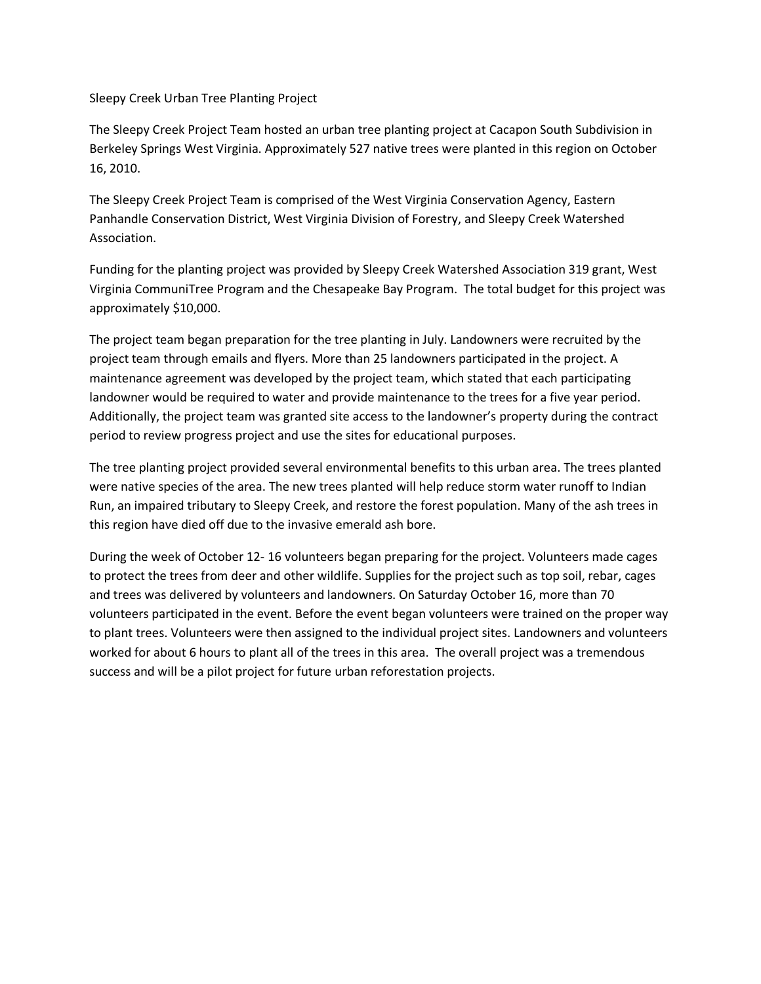Sleepy Creek Urban Tree Planting Project

The Sleepy Creek Project Team hosted an urban tree planting project at Cacapon South Subdivision in Berkeley Springs West Virginia. Approximately 527 native trees were planted in this region on October 16, 2010.

The Sleepy Creek Project Team is comprised of the West Virginia Conservation Agency, Eastern Panhandle Conservation District, West Virginia Division of Forestry, and Sleepy Creek Watershed Association.

Funding for the planting project was provided by Sleepy Creek Watershed Association 319 grant, West Virginia CommuniTree Program and the Chesapeake Bay Program. The total budget for this project was approximately \$10,000.

The project team began preparation for the tree planting in July. Landowners were recruited by the project team through emails and flyers. More than 25 landowners participated in the project. A maintenance agreement was developed by the project team, which stated that each participating landowner would be required to water and provide maintenance to the trees for a five year period. Additionally, the project team was granted site access to the landowner's property during the contract period to review progress project and use the sites for educational purposes.

The tree planting project provided several environmental benefits to this urban area. The trees planted were native species of the area. The new trees planted will help reduce storm water runoff to Indian Run, an impaired tributary to Sleepy Creek, and restore the forest population. Many of the ash trees in this region have died off due to the invasive emerald ash bore.

During the week of October 12- 16 volunteers began preparing for the project. Volunteers made cages to protect the trees from deer and other wildlife. Supplies for the project such as top soil, rebar, cages and trees was delivered by volunteers and landowners. On Saturday October 16, more than 70 volunteers participated in the event. Before the event began volunteers were trained on the proper way to plant trees. Volunteers were then assigned to the individual project sites. Landowners and volunteers worked for about 6 hours to plant all of the trees in this area. The overall project was a tremendous success and will be a pilot project for future urban reforestation projects.